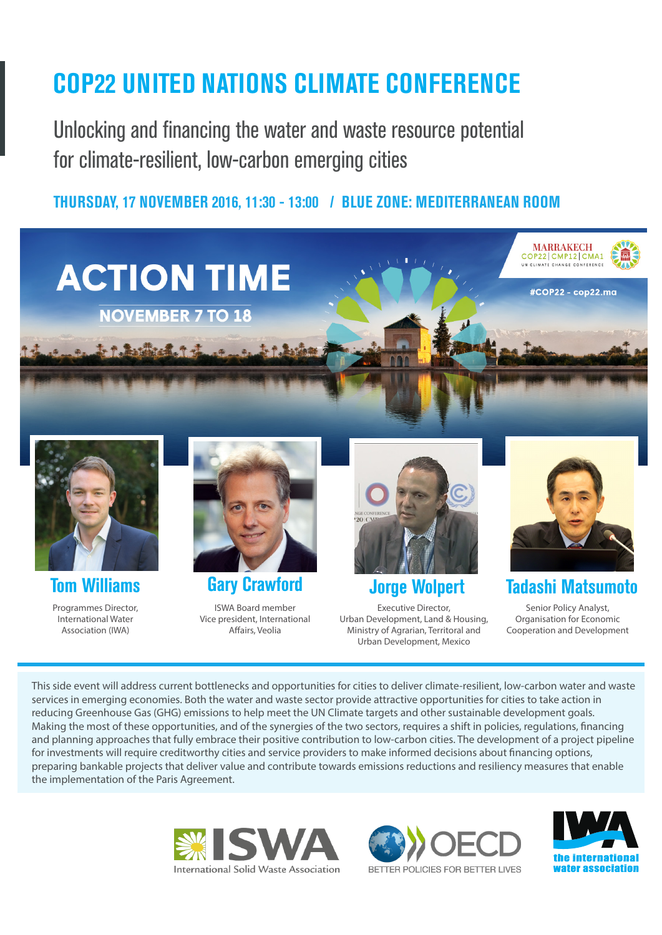## **COP22 UNITED NATIONS CLIMATE CONFERENCE**

Unlocking and financing the water and waste resource potential for climate-resilient, low-carbon emerging cities

**THURSDAY, 17 NOVEMBER 2016, 11:30 - 13:00 / BLUE ZONE: MEDITERRANEAN ROOM**





Programmes Director,

International Water Association (IWA)



**Tom Williams Gary Crawford Jorge Wolpert Tadashi Matsumoto** ISWA Board member

Vice president, International Affairs, Veolia



Executive Director, Urban Development, Land & Housing, Ministry of Agrarian, Territoral and

Urban Development, Mexico



Senior Policy Analyst, Organisation for Economic Cooperation and Development

This side event will address current bottlenecks and opportunities for cities to deliver climate-resilient, low-carbon water and waste services in emerging economies. Both the water and waste sector provide attractive opportunities for cities to take action in reducing Greenhouse Gas (GHG) emissions to help meet the UN Climate targets and other sustainable development goals. Making the most of these opportunities, and of the synergies of the two sectors, requires a shift in policies, regulations, financing and planning approaches that fully embrace their positive contribution to low-carbon cities. The development of a project pipeline for investments will require creditworthy cities and service providers to make informed decisions about financing options, preparing bankable projects that deliver value and contribute towards emissions reductions and resiliency measures that enable the implementation of the Paris Agreement.